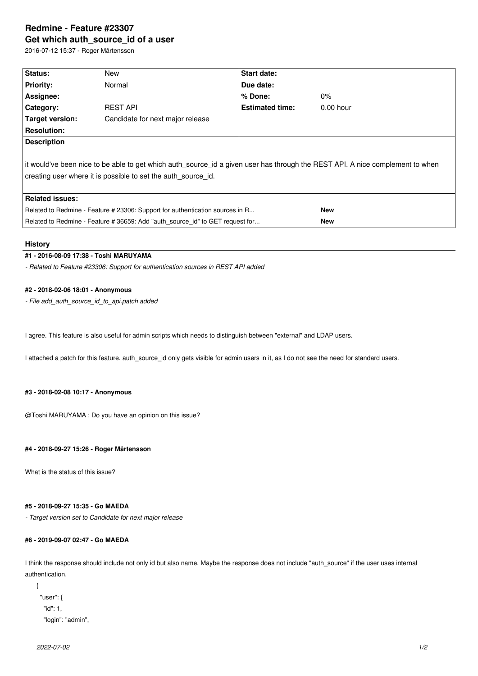# **Redmine - Feature #23307 Get which auth\_source\_id of a user**

2016-07-12 15:37 - Roger Mårtensson

| Status:                                                                                                                                                                                         | New                              | Start date:            |             |  |  |
|-------------------------------------------------------------------------------------------------------------------------------------------------------------------------------------------------|----------------------------------|------------------------|-------------|--|--|
| <b>Priority:</b>                                                                                                                                                                                | Normal                           | Due date:              |             |  |  |
| Assignee:                                                                                                                                                                                       |                                  | % Done:                | $0\%$       |  |  |
| Category:                                                                                                                                                                                       | <b>REST API</b>                  | <b>Estimated time:</b> | $0.00$ hour |  |  |
| Target version:                                                                                                                                                                                 | Candidate for next major release |                        |             |  |  |
| <b>Resolution:</b>                                                                                                                                                                              |                                  |                        |             |  |  |
| <b>Description</b>                                                                                                                                                                              |                                  |                        |             |  |  |
| lit would've been nice to be able to get which auth source id a given user has through the REST API. A nice complement to when<br>creating user where it is possible to set the auth source id. |                                  |                        |             |  |  |
| <b>Related issues:</b>                                                                                                                                                                          |                                  |                        |             |  |  |
| Related to Redmine - Feature # 23306: Support for authentication sources in R                                                                                                                   |                                  | <b>New</b>             |             |  |  |
| Related to Redmine - Feature # 36659: Add "auth_source_id" to GET request for                                                                                                                   |                                  |                        | <b>New</b>  |  |  |

#### **History**

## **#1 - 2016-08-09 17:38 - Toshi MARUYAMA**

*- Related to Feature #23306: Support for authentication sources in REST API added*

## **#2 - 2018-02-06 18:01 - Anonymous**

*- File add\_auth\_source\_id\_to\_api.patch added*

I agree. This feature is also useful for admin scripts which needs to distinguish between "external" and LDAP users.

I attached a patch for this feature. auth\_source\_id only gets visible for admin users in it, as I do not see the need for standard users.

#### **#3 - 2018-02-08 10:17 - Anonymous**

@Toshi MARUYAMA : Do you have an opinion on this issue?

#### **#4 - 2018-09-27 15:26 - Roger Mårtensson**

What is the status of this issue?

## **#5 - 2018-09-27 15:35 - Go MAEDA**

*- Target version set to Candidate for next major release*

# **#6 - 2019-09-07 02:47 - Go MAEDA**

I think the response should include not only id but also name. Maybe the response does not include "auth\_source" if the user uses internal authentication.

```
{
  "user": {
    "id": 1,
    "login": "admin",
```